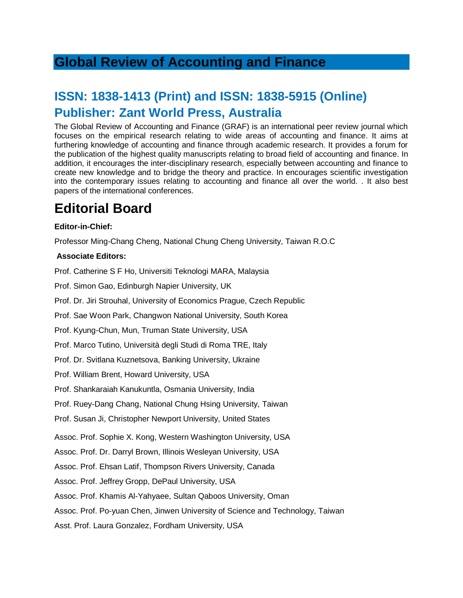### **Global Review of Accounting and Finance**

## **ISSN: 1838-1413 (Print) and ISSN: 1838-5915 (Online) Publisher: Zant World Press, Australia**

The Global Review of Accounting and Finance (GRAF) is an international peer review journal which focuses on the empirical research relating to wide areas of accounting and finance. It aims at furthering knowledge of accounting and finance through academic research. It provides a forum for the publication of the highest quality manuscripts relating to broad field of accounting and finance. In addition, it encourages the inter-disciplinary research, especially between accounting and finance to create new knowledge and to bridge the theory and practice. In encourages scientific investigation into the contemporary issues relating to accounting and finance all over the world. . It also best papers of the international conferences.

# **Editorial Board**

#### **Editor-in-Chief:**

Professor Ming-Chang Cheng, National Chung Cheng University, Taiwan R.O.C

### **Associate Editors:**

Prof. Catherine S F Ho, Universiti Teknologi MARA, Malaysia

Prof. Simon Gao, Edinburgh Napier University, UK

Prof. Dr. Jiri Strouhal, University of Economics Prague, Czech Republic

Prof. Sae Woon Park, Changwon National University, South Korea

Prof. Kyung-Chun, Mun, Truman State University, USA

Prof. Marco Tutino, Università degli Studi di Roma TRE, Italy

Prof. Dr. Svitlana Kuznetsova, Banking University, Ukraine

Prof. William Brent, Howard University, USA

Prof. Shankaraiah Kanukuntla, Osmania University, India

Prof. Ruey-Dang Chang, National Chung Hsing University, Taiwan

Prof. Susan Ji, Christopher Newport University, United States

Assoc. Prof. Sophie X. Kong, Western Washington University, USA

Assoc. Prof. Dr. Darryl Brown, Illinois Wesleyan University, USA

Assoc. Prof. Ehsan Latif, Thompson Rivers University, Canada

Assoc. Prof. Jeffrey Gropp, DePaul University, USA

Assoc. Prof. Khamis Al-Yahyaee, Sultan Qaboos University, Oman

Assoc. Prof. Po-yuan Chen, Jinwen University of Science and Technology, Taiwan

Asst. Prof. Laura Gonzalez, Fordham University, USA